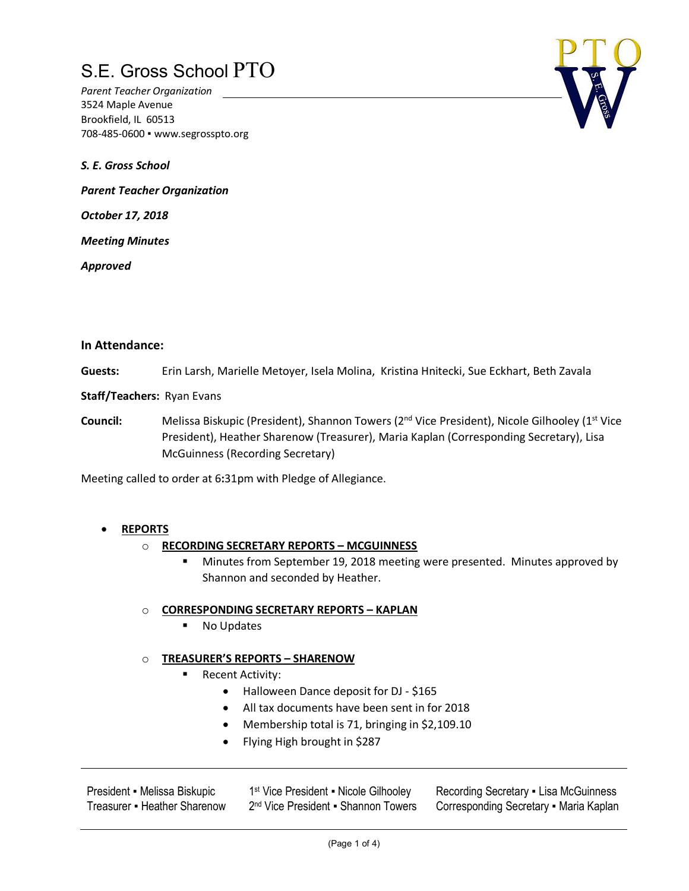*Parent Teacher Organization* 3524 Maple Avenue Brookfield, IL 60513 708-485-0600 ▪ www.segrosspto.org

*S. E. Gross School*

*Parent Teacher Organization*

*October 17, 2018*

*Meeting Minutes*

*Approved*

#### **In Attendance:**

**Guests:** Erin Larsh, Marielle Metoyer, Isela Molina, Kristina Hnitecki, Sue Eckhart, Beth Zavala

**Staff/Teachers:** Ryan Evans

Council: Melissa Biskupic (President), Shannon Towers (2<sup>nd</sup> Vice President), Nicole Gilhooley (1<sup>st</sup> Vice President), Heather Sharenow (Treasurer), Maria Kaplan (Corresponding Secretary), Lisa McGuinness (Recording Secretary)

Meeting called to order at 6**:**31pm with Pledge of Allegiance.

### • **REPORTS**

### o **RECORDING SECRETARY REPORTS – MCGUINNESS**

§ Minutes from September 19, 2018 meeting were presented. Minutes approved by Shannon and seconded by Heather.

### o **CORRESPONDING SECRETARY REPORTS – KAPLAN**

■ No Updates

### o **TREASURER'S REPORTS – SHARENOW**

- Recent Activity:
	- Halloween Dance deposit for DJ \$165
	- All tax documents have been sent in for 2018
	- Membership total is 71, bringing in \$2,109.10
	- Flying High brought in \$287

| President - Melissa Biskupic |
|------------------------------|
| Treasurer • Heather Sharenow |

1<sup>st</sup> Vice President • Nicole Gilhooley 2<sup>nd</sup> Vice President • Shannon Towers

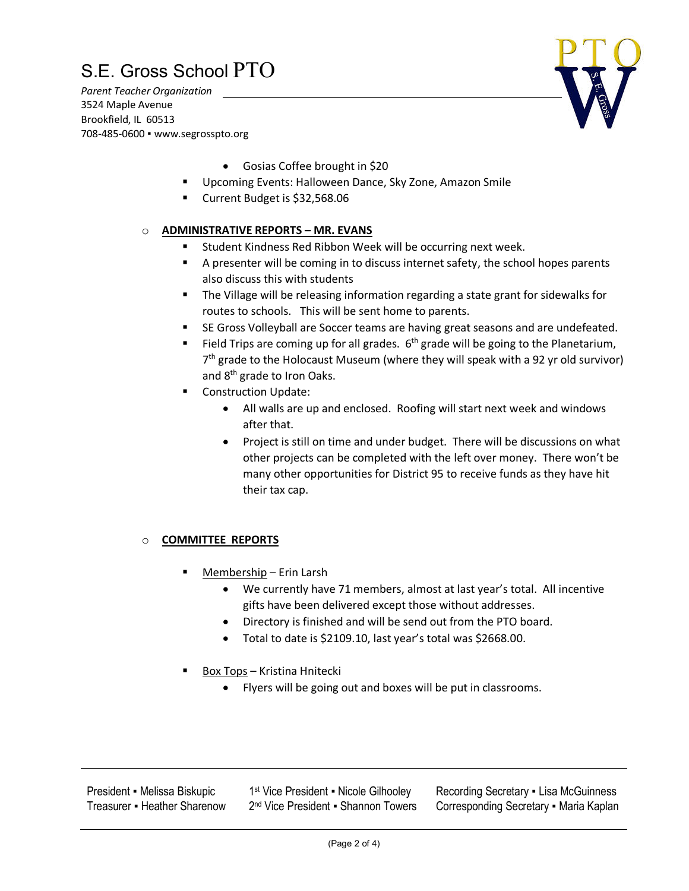*Parent Teacher Organization* 3524 Maple Avenue Brookfield, IL 60513 708-485-0600 ▪ www.segrosspto.org



- Gosias Coffee brought in \$20
- § Upcoming Events: Halloween Dance, Sky Zone, Amazon Smile
- Current Budget is \$32,568.06

### o **ADMINISTRATIVE REPORTS – MR. EVANS**

- § Student Kindness Red Ribbon Week will be occurring next week.
- § A presenter will be coming in to discuss internet safety, the school hopes parents also discuss this with students
- The Village will be releasing information regarding a state grant for sidewalks for routes to schools. This will be sent home to parents.
- SE Gross Volleyball are Soccer teams are having great seasons and are undefeated.
- Field Trips are coming up for all grades.  $6<sup>th</sup>$  grade will be going to the Planetarium,  $7<sup>th</sup>$  grade to the Holocaust Museum (where they will speak with a 92 yr old survivor) and 8th grade to Iron Oaks.
- § Construction Update:
	- All walls are up and enclosed. Roofing will start next week and windows after that.
	- Project is still on time and under budget. There will be discussions on what other projects can be completed with the left over money. There won't be many other opportunities for District 95 to receive funds as they have hit their tax cap.

### o **COMMITTEE REPORTS**

- § Membership Erin Larsh
	- We currently have 71 members, almost at last year's total. All incentive gifts have been delivered except those without addresses.
	- Directory is finished and will be send out from the PTO board.
	- Total to date is \$2109.10, last year's total was \$2668.00.
- § Box Tops Kristina Hnitecki
	- Flyers will be going out and boxes will be put in classrooms.

President ▪ Melissa Biskupic Treasurer • Heather Sharenow 1<sup>st</sup> Vice President • Nicole Gilhooley 2<sup>nd</sup> Vice President • Shannon Towers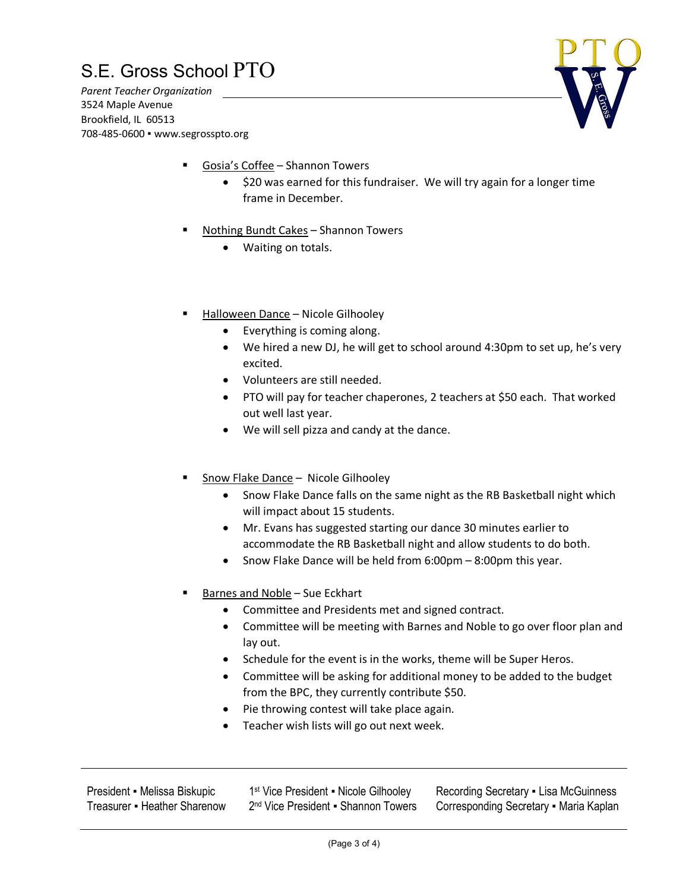*Parent Teacher Organization* 3524 Maple Avenue Brookfield, IL 60513 708-485-0600 ▪ www.segrosspto.org



- § Gosia's Coffee Shannon Towers
	- \$20 was earned for this fundraiser. We will try again for a longer time frame in December.
- § Nothing Bundt Cakes Shannon Towers
	- Waiting on totals.
- § Halloween Dance Nicole Gilhooley
	- Everything is coming along.
	- We hired a new DJ, he will get to school around 4:30pm to set up, he's very excited.
	- Volunteers are still needed.
	- PTO will pay for teacher chaperones, 2 teachers at \$50 each. That worked out well last year.
	- We will sell pizza and candy at the dance.
- § Snow Flake Dance Nicole Gilhooley
	- Snow Flake Dance falls on the same night as the RB Basketball night which will impact about 15 students.
	- Mr. Evans has suggested starting our dance 30 minutes earlier to accommodate the RB Basketball night and allow students to do both.
	- Snow Flake Dance will be held from 6:00pm 8:00pm this year.
- § Barnes and Noble Sue Eckhart
	- Committee and Presidents met and signed contract.
	- Committee will be meeting with Barnes and Noble to go over floor plan and lay out.
	- Schedule for the event is in the works, theme will be Super Heros.
	- Committee will be asking for additional money to be added to the budget from the BPC, they currently contribute \$50.
	- Pie throwing contest will take place again.
	- Teacher wish lists will go out next week.

President ▪ Melissa Biskupic Treasurer • Heather Sharenow 1<sup>st</sup> Vice President • Nicole Gilhooley 2<sup>nd</sup> Vice President • Shannon Towers